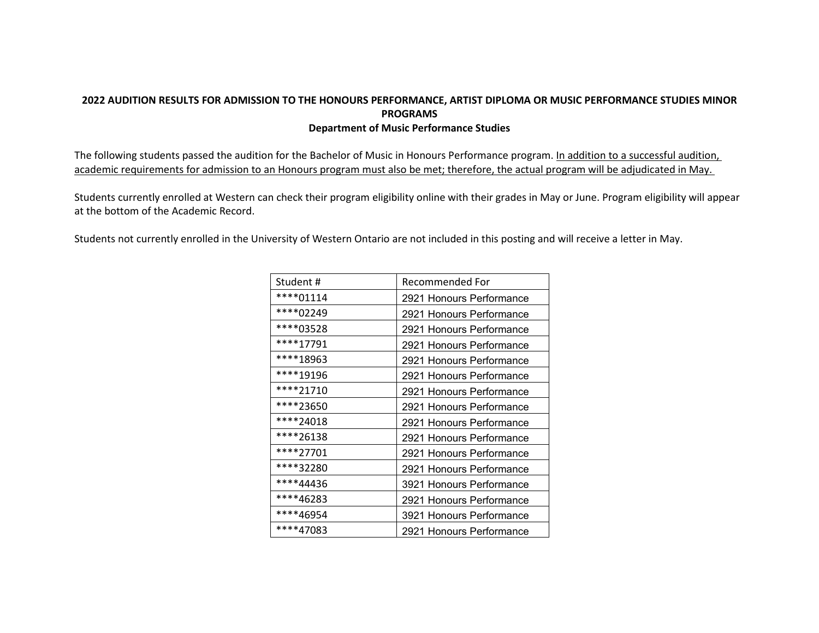## **2022 AUDITION RESULTS FOR ADMISSION TO THE HONOURS PERFORMANCE, ARTIST DIPLOMA OR MUSIC PERFORMANCE STUDIES MINOR PROGRAMS Department of Music Performance Studies**

The following students passed the audition for the Bachelor of Music in Honours Performance program. In addition to a successful audition, academic requirements for admission to an Honours program must also be met; therefore, the actual program will be adjudicated in May.

Students currently enrolled at Western can check their program eligibility online with their grades in May or June. Program eligibility will appear at the bottom of the Academic Record.

Students not currently enrolled in the University of Western Ontario are not included in this posting and will receive a letter in May.

| Student#  | Recommended For          |
|-----------|--------------------------|
| ****01114 | 2921 Honours Performance |
| ****02249 | 2921 Honours Performance |
| ****03528 | 2921 Honours Performance |
| ****17791 | 2921 Honours Performance |
| ****18963 | 2921 Honours Performance |
| ****19196 | 2921 Honours Performance |
| ****21710 | 2921 Honours Performance |
| ****23650 | 2921 Honours Performance |
| ****24018 | 2921 Honours Performance |
| ****26138 | 2921 Honours Performance |
| ****27701 | 2921 Honours Performance |
| ****32280 | 2921 Honours Performance |
| ****44436 | 3921 Honours Performance |
| ****46283 | 2921 Honours Performance |
| ****46954 | 3921 Honours Performance |
| ****47083 | 2921 Honours Performance |